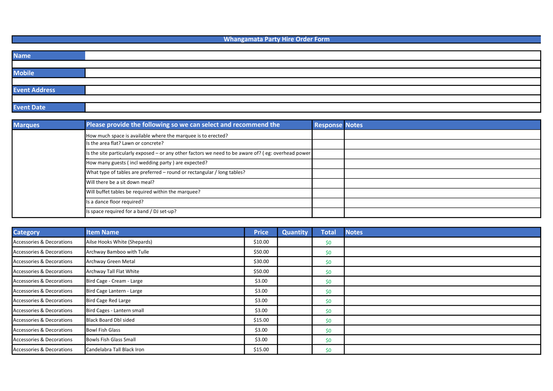Whangamata Party Hire Order Form

| <b>Name</b>          |  |
|----------------------|--|
|                      |  |
| <b>Mobile</b>        |  |
|                      |  |
| <b>Event Address</b> |  |
|                      |  |
| <b>Event Date</b>    |  |

| <b>Marques</b> | Please provide the following so we can select and recommend the                                     | <b>Response Notes</b> |  |
|----------------|-----------------------------------------------------------------------------------------------------|-----------------------|--|
|                | How much space is available where the marquee is to erected?                                        |                       |  |
|                | Is the area flat? Lawn or concrete?                                                                 |                       |  |
|                | Is the site particularly exposed – or any other factors we need to be aware of? (eg: overhead power |                       |  |
|                | How many guests (incl wedding party) are expected?                                                  |                       |  |
|                | What type of tables are preferred - round or rectangular / long tables?                             |                       |  |
|                | Will there be a sit down meal?                                                                      |                       |  |
|                | Will buffet tables be required within the marquee?                                                  |                       |  |
|                | Is a dance floor required?                                                                          |                       |  |
|                | Is space required for a band / DJ set-up?                                                           |                       |  |

| <b>Category</b>           | <b>Item Name</b>              | <b>Price</b> | <b>Quantity</b> | <b>Total</b> | <b>Notes</b> |
|---------------------------|-------------------------------|--------------|-----------------|--------------|--------------|
| Accessories & Decorations | Ailse Hooks White (Shepards)  | \$10.00      |                 | \$0          |              |
| Accessories & Decorations | Archway Bamboo with Tulle     | \$50.00      |                 | \$0          |              |
| Accessories & Decorations | Archway Green Metal           | \$30.00      |                 | \$0          |              |
| Accessories & Decorations | Archway Tall Flat White       | \$50.00      |                 | \$0          |              |
| Accessories & Decorations | Bird Cage - Cream - Large     | \$3.00       |                 | \$0          |              |
| Accessories & Decorations | Bird Cage Lantern - Large     | \$3.00       |                 | \$0          |              |
| Accessories & Decorations | Bird Cage Red Large           | \$3.00       |                 | \$0          |              |
| Accessories & Decorations | Bird Cages - Lantern small    | \$3.00       |                 | \$0          |              |
| Accessories & Decorations | Black Board Dbl sided         | \$15.00      |                 | \$0          |              |
| Accessories & Decorations | <b>Bowl Fish Glass</b>        | \$3.00       |                 | \$0          |              |
| Accessories & Decorations | <b>Bowls Fish Glass Small</b> | \$3.00       |                 | \$0          |              |
| Accessories & Decorations | Candelabra Tall Black Iron    | \$15.00      |                 | \$0          |              |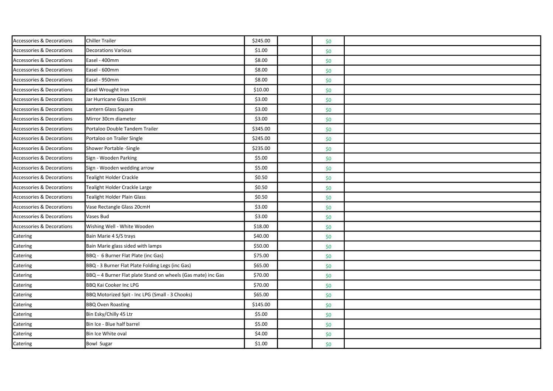| Accessories & Decorations            | <b>Chiller Trailer</b>                                       | \$245.00 | \$0 |  |
|--------------------------------------|--------------------------------------------------------------|----------|-----|--|
| <b>Accessories &amp; Decorations</b> | <b>Decorations Various</b>                                   | \$1.00   | \$0 |  |
| <b>Accessories &amp; Decorations</b> | Easel - 400mm                                                | \$8.00   | \$0 |  |
| Accessories & Decorations            | Easel - 600mm                                                | \$8.00   | \$0 |  |
| <b>Accessories &amp; Decorations</b> | Easel - 950mm                                                | \$8.00   | \$0 |  |
| <b>Accessories &amp; Decorations</b> | Easel Wrought Iron                                           | \$10.00  | \$0 |  |
| Accessories & Decorations            | Jar Hurricane Glass 15cmH                                    | \$3.00   | \$0 |  |
| <b>Accessories &amp; Decorations</b> | Lantern Glass Square                                         | \$3.00   | \$0 |  |
| <b>Accessories &amp; Decorations</b> | Mirror 30cm diameter                                         | \$3.00   | \$0 |  |
| Accessories & Decorations            | Portaloo Double Tandem Trailer                               | \$345.00 | \$0 |  |
| <b>Accessories &amp; Decorations</b> | Portaloo on Trailer Single                                   | \$245.00 | \$0 |  |
| <b>Accessories &amp; Decorations</b> | Shower Portable -Single                                      | \$235.00 | \$0 |  |
| Accessories & Decorations            | Sign - Wooden Parking                                        | \$5.00   | \$0 |  |
| Accessories & Decorations            | Sign - Wooden wedding arrow                                  | \$5.00   | \$0 |  |
| <b>Accessories &amp; Decorations</b> | Tealight Holder Crackle                                      | \$0.50   | \$0 |  |
| Accessories & Decorations            | Tealight Holder Crackle Large                                | \$0.50   | \$0 |  |
| <b>Accessories &amp; Decorations</b> | <b>Tealight Holder Plain Glass</b>                           | \$0.50   | \$0 |  |
| <b>Accessories &amp; Decorations</b> | Vase Rectangle Glass 20cmH                                   | \$3.00   | \$0 |  |
| Accessories & Decorations            | Vases Bud                                                    | \$3.00   | \$0 |  |
| <b>Accessories &amp; Decorations</b> | Wishing Well - White Wooden                                  | \$18.00  | \$0 |  |
| Catering                             | Bain Marie 4 S/S trays                                       | \$40.00  | \$0 |  |
| Catering                             | Bain Marie glass sided with lamps                            | \$50.00  | \$0 |  |
| Catering                             | BBQ - 6 Burner Flat Plate (inc Gas)                          | \$75.00  | \$0 |  |
| Catering                             | BBQ - 3 Burner Flat Plate Folding Legs (inc Gas)             | \$65.00  | \$0 |  |
| Catering                             | BBQ - 4 Burner Flat plate Stand on wheels (Gas mate) inc Gas | \$70.00  | \$0 |  |
| Catering                             | <b>BBQ Kai Cooker Inc LPG</b>                                | \$70.00  | \$0 |  |
| Catering                             | BBQ Motorized Spit - Inc LPG (Small - 3 Chooks)              | \$65.00  | \$0 |  |
| Catering                             | <b>BBQ Oven Roasting</b>                                     | \$145.00 | \$0 |  |
| Catering                             | Bin Esky/Chilly 45 Ltr                                       | \$5.00   | \$0 |  |
| Catering                             | Bin Ice - Blue half barrel                                   | \$5.00   | \$0 |  |
| Catering                             | Bin Ice White oval                                           | \$4.00   | \$0 |  |
| Catering                             | <b>Bowl Sugar</b>                                            | \$1.00   | \$0 |  |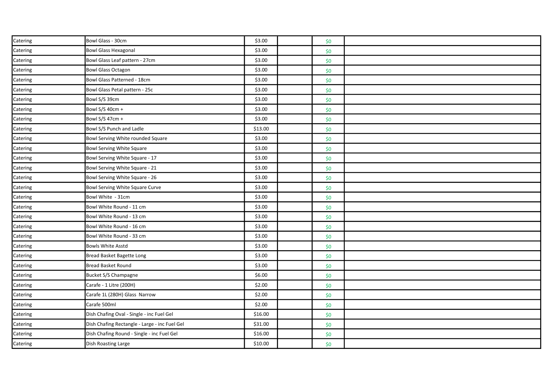| Catering | Bowl Glass - 30cm                             | \$3.00  | \$0 |  |
|----------|-----------------------------------------------|---------|-----|--|
| Catering | <b>Bowl Glass Hexagonal</b>                   | \$3.00  | \$0 |  |
| Catering | Bowl Glass Leaf pattern - 27cm                | \$3.00  | \$0 |  |
| Catering | <b>Bowl Glass Octagon</b>                     | \$3.00  | \$0 |  |
| Catering | Bowl Glass Patterned - 18cm                   | \$3.00  | \$0 |  |
| Catering | Bowl Glass Petal pattern - 25c                | \$3.00  | \$0 |  |
| Catering | Bowl S/S 39cm                                 | \$3.00  | \$0 |  |
| Catering | Bowl S/S 40cm +                               | \$3.00  | \$0 |  |
| Catering | Bowl S/S 47cm +                               | \$3.00  | \$0 |  |
| Catering | Bowl S/S Punch and Ladle                      | \$13.00 | \$0 |  |
| Catering | Bowl Serving White rounded Square             | \$3.00  | \$0 |  |
| Catering | <b>Bowl Serving White Square</b>              | \$3.00  | \$0 |  |
| Catering | Bowl Serving White Square - 17                | \$3.00  | \$0 |  |
| Catering | Bowl Serving White Square - 21                | \$3.00  | \$0 |  |
| Catering | Bowl Serving White Square - 26                | \$3.00  | \$0 |  |
| Catering | Bowl Serving White Square Curve               | \$3.00  | \$0 |  |
| Catering | Bowl White - 31cm                             | \$3.00  | \$0 |  |
| Catering | Bowl White Round - 11 cm                      | \$3.00  | \$0 |  |
| Catering | Bowl White Round - 13 cm                      | \$3.00  | \$0 |  |
| Catering | Bowl White Round - 16 cm                      | \$3.00  | \$0 |  |
| Catering | Bowl White Round - 33 cm                      | \$3.00  | \$0 |  |
| Catering | <b>Bowls White Asstd</b>                      | \$3.00  | \$0 |  |
| Catering | Bread Basket Bagette Long                     | \$3.00  | \$0 |  |
| Catering | Bread Basket Round                            | \$3.00  | \$0 |  |
| Catering | Bucket S/S Champagne                          | \$6.00  | \$0 |  |
| Catering | Carafe - 1 Litre (200H)                       | \$2.00  | \$0 |  |
| Catering | Carafe 1L (280H) Glass Narrow                 | \$2.00  | \$0 |  |
| Catering | Carafe 500ml                                  | \$2.00  | \$0 |  |
| Catering | Dish Chafing Oval - Single - inc Fuel Gel     | \$16.00 | \$0 |  |
| Catering | Dish Chafing Rectangle - Large - inc Fuel Gel | \$31.00 | \$0 |  |
| Catering | Dish Chafing Round - Single - inc Fuel Gel    | \$16.00 | \$0 |  |
| Catering | Dish Roasting Large                           | \$10.00 | \$0 |  |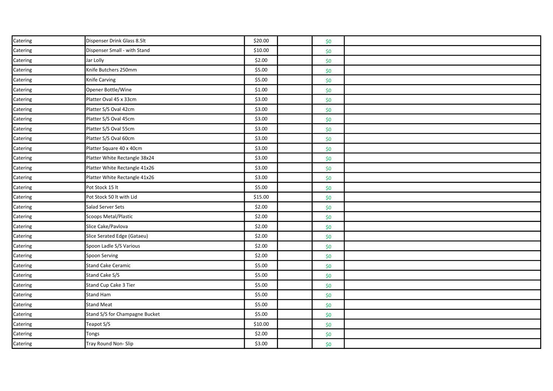| Catering | Dispenser Drink Glass 8.5lt    | \$20.00 | \$0 |  |
|----------|--------------------------------|---------|-----|--|
| Catering | Dispenser Small - with Stand   | \$10.00 | \$0 |  |
| Catering | Jar Lolly                      | \$2.00  | \$0 |  |
| Catering | Knife Butchers 250mm           | \$5.00  | \$0 |  |
| Catering | Knife Carving                  | \$5.00  | \$0 |  |
| Catering | Opener Bottle/Wine             | \$1.00  | \$0 |  |
| Catering | Platter Oval 45 x 33cm         | \$3.00  | \$0 |  |
| Catering | Platter S/S Oval 42cm          | \$3.00  | \$0 |  |
| Catering | Platter S/S Oval 45cm          | \$3.00  | \$0 |  |
| Catering | Platter S/S Oval 55cm          | \$3.00  | \$0 |  |
| Catering | Platter S/S Oval 60cm          | \$3.00  | \$0 |  |
| Catering | Platter Square 40 x 40cm       | \$3.00  | \$0 |  |
| Catering | Platter White Rectangle 38x24  | \$3.00  | \$0 |  |
| Catering | Platter White Rectangle 41x26  | \$3.00  | \$0 |  |
| Catering | Platter White Rectangle 41x26  | \$3.00  | \$0 |  |
| Catering | Pot Stock 15 lt                | \$5.00  | \$0 |  |
| Catering | Pot Stock 50 lt with Lid       | \$15.00 | \$0 |  |
| Catering | Salad Server Sets              | \$2.00  | \$0 |  |
| Catering | Scoops Metal/Plastic           | \$2.00  | \$0 |  |
| Catering | Slice Cake/Pavlova             | \$2.00  | \$0 |  |
| Catering | Slice Serated Edge (Gataeu)    | \$2.00  | \$0 |  |
| Catering | Spoon Ladle S/S Various        | \$2.00  | \$0 |  |
| Catering | Spoon Serving                  | \$2.00  | \$0 |  |
| Catering | <b>Stand Cake Ceramic</b>      | \$5.00  | \$0 |  |
| Catering | Stand Cake S/S                 | \$5.00  | \$0 |  |
| Catering | Stand Cup Cake 3 Tier          | \$5.00  | \$0 |  |
| Catering | <b>Stand Ham</b>               | \$5.00  | \$0 |  |
| Catering | <b>Stand Meat</b>              | \$5.00  | \$0 |  |
| Catering | Stand S/S for Champagne Bucket | \$5.00  | \$0 |  |
| Catering | Teapot S/S                     | \$10.00 | \$0 |  |
| Catering | Tongs                          | \$2.00  | \$0 |  |
| Catering | Tray Round Non-Slip            | \$3.00  | \$0 |  |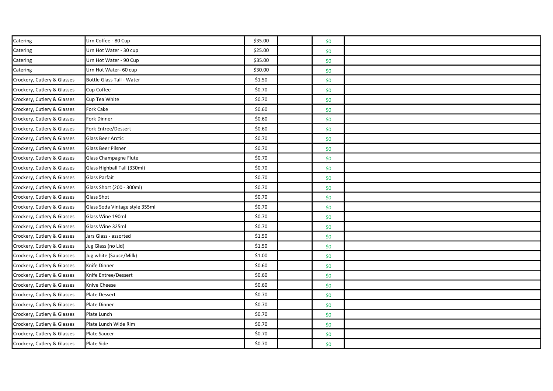| Catering                    | Urn Coffee - 80 Cup            | \$35.00 | \$0 |  |
|-----------------------------|--------------------------------|---------|-----|--|
| Catering                    | Urn Hot Water - 30 cup         | \$25.00 | \$0 |  |
| Catering                    | Urn Hot Water - 90 Cup         | \$35.00 | \$0 |  |
| Catering                    | Urn Hot Water- 60 cup          | \$30.00 | \$0 |  |
| Crockery, Cutlery & Glasses | Bottle Glass Tall - Water      | \$1.50  | \$0 |  |
| Crockery, Cutlery & Glasses | Cup Coffee                     | \$0.70  | \$0 |  |
| Crockery, Cutlery & Glasses | Cup Tea White                  | \$0.70  | \$0 |  |
| Crockery, Cutlery & Glasses | Fork Cake                      | \$0.60  | \$0 |  |
| Crockery, Cutlery & Glasses | Fork Dinner                    | \$0.60  | \$0 |  |
| Crockery, Cutlery & Glasses | Fork Entree/Dessert            | \$0.60  | \$0 |  |
| Crockery, Cutlery & Glasses | <b>Glass Beer Arctic</b>       | \$0.70  | \$0 |  |
| Crockery, Cutlery & Glasses | <b>Glass Beer Pilsner</b>      | \$0.70  | \$0 |  |
| Crockery, Cutlery & Glasses | Glass Champagne Flute          | \$0.70  | \$0 |  |
| Crockery, Cutlery & Glasses | Glass Highball Tall (330ml)    | \$0.70  | \$0 |  |
| Crockery, Cutlery & Glasses | <b>Glass Parfait</b>           | \$0.70  | \$0 |  |
| Crockery, Cutlery & Glasses | Glass Short (200 - 300ml)      | \$0.70  | \$0 |  |
| Crockery, Cutlery & Glasses | <b>Glass Shot</b>              | \$0.70  | \$0 |  |
| Crockery, Cutlery & Glasses | Glass Soda Vintage style 355ml | \$0.70  | \$0 |  |
| Crockery, Cutlery & Glasses | Glass Wine 190ml               | \$0.70  | \$0 |  |
| Crockery, Cutlery & Glasses | Glass Wine 325ml               | \$0.70  | \$0 |  |
| Crockery, Cutlery & Glasses | Jars Glass - assorted          | \$1.50  | \$0 |  |
| Crockery, Cutlery & Glasses | Jug Glass (no Lid)             | \$1.50  | \$0 |  |
| Crockery, Cutlery & Glasses | Jug white (Sauce/Milk)         | \$1.00  | \$0 |  |
| Crockery, Cutlery & Glasses | Knife Dinner                   | \$0.60  | \$0 |  |
| Crockery, Cutlery & Glasses | Knife Entree/Dessert           | \$0.60  | \$0 |  |
| Crockery, Cutlery & Glasses | Knive Cheese                   | \$0.60  | \$0 |  |
| Crockery, Cutlery & Glasses | Plate Dessert                  | \$0.70  | \$0 |  |
| Crockery, Cutlery & Glasses | Plate Dinner                   | \$0.70  | \$0 |  |
| Crockery, Cutlery & Glasses | Plate Lunch                    | \$0.70  | \$0 |  |
| Crockery, Cutlery & Glasses | Plate Lunch Wide Rim           | \$0.70  | \$0 |  |
| Crockery, Cutlery & Glasses | Plate Saucer                   | \$0.70  | \$0 |  |
| Crockery, Cutlery & Glasses | Plate Side                     | \$0.70  | \$0 |  |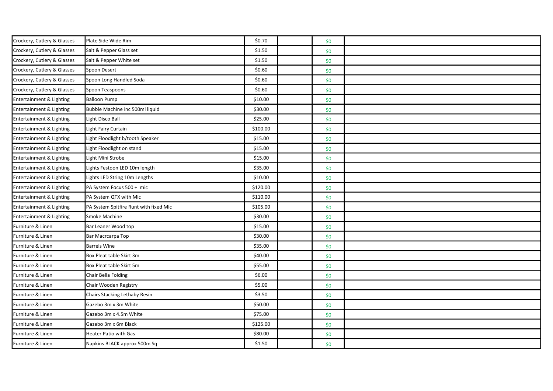| Crockery, Cutlery & Glasses | Plate Side Wide Rim                    | \$0.70   | \$0 |  |
|-----------------------------|----------------------------------------|----------|-----|--|
| Crockery, Cutlery & Glasses | Salt & Pepper Glass set                | \$1.50   | \$0 |  |
| Crockery, Cutlery & Glasses | Salt & Pepper White set                | \$1.50   | \$0 |  |
| Crockery, Cutlery & Glasses | Spoon Desert                           | \$0.60   | \$0 |  |
| Crockery, Cutlery & Glasses | Spoon Long Handled Soda                | \$0.60   | \$0 |  |
| Crockery, Cutlery & Glasses | Spoon Teaspoons                        | \$0.60   | \$0 |  |
| Entertainment & Lighting    | <b>Balloon Pump</b>                    | \$10.00  | \$0 |  |
| Entertainment & Lighting    | Bubble Machine inc 500ml liquid        | \$30.00  | \$0 |  |
| Entertainment & Lighting    | Light Disco Ball                       | \$25.00  | \$0 |  |
| Entertainment & Lighting    | Light Fairy Curtain                    | \$100.00 | \$0 |  |
| Entertainment & Lighting    | Light Floodlight b/tooth Speaker       | \$15.00  | \$0 |  |
| Entertainment & Lighting    | Light Floodlight on stand              | \$15.00  | \$0 |  |
| Entertainment & Lighting    | Light Mini Strobe                      | \$15.00  | \$0 |  |
| Entertainment & Lighting    | Lights Festoon LED 10m length          | \$35.00  | \$0 |  |
| Entertainment & Lighting    | Lights LED String 10m Lengths          | \$10.00  | \$0 |  |
| Entertainment & Lighting    | PA System Focus 500 + mic              | \$120.00 | \$0 |  |
| Entertainment & Lighting    | PA System QTX with Mic                 | \$110.00 | \$0 |  |
| Entertainment & Lighting    | PA System Spitfire Runt with fixed Mic | \$105.00 | \$0 |  |
| Entertainment & Lighting    | Smoke Machine                          | \$30.00  | \$0 |  |
| Furniture & Linen           | Bar Leaner Wood top                    | \$15.00  | \$0 |  |
| Furniture & Linen           | Bar Macrcarpa Top                      | \$30.00  | \$0 |  |
| Furniture & Linen           | <b>Barrels Wine</b>                    | \$35.00  | \$0 |  |
| Furniture & Linen           | Box Pleat table Skirt 3m               | \$40.00  | \$0 |  |
| Furniture & Linen           | Box Pleat table Skirt 5m               | \$55.00  | \$0 |  |
| Furniture & Linen           | Chair Bella Folding                    | \$6.00   | \$0 |  |
| Furniture & Linen           | Chair Wooden Registry                  | \$5.00   | \$0 |  |
| Furniture & Linen           | Chairs Stacking Lethaby Resin          | \$3.50   | \$0 |  |
| Furniture & Linen           | Gazebo 3m x 3m White                   | \$50.00  | \$0 |  |
| Furniture & Linen           | Gazebo 3m x 4.5m White                 | \$75.00  | \$0 |  |
| Furniture & Linen           | Gazebo 3m x 6m Black                   | \$125.00 | \$0 |  |
| Furniture & Linen           | Heater Patio with Gas                  | \$80.00  | \$0 |  |
| Furniture & Linen           | Napkins BLACK approx 500m Sq           | \$1.50   | \$0 |  |